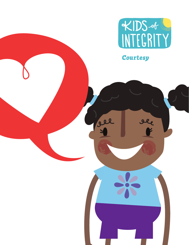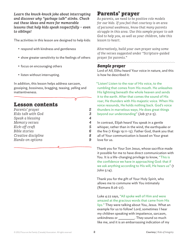*Learn the knock-knock joke about interrupting and discover why "garbage talk" stinks. Check out these ideas and more for memorable lessons that help kids speak respectfully – even to siblings!*

The activities in this lesson are designed to help kids:

- respond with kindness and gentleness
- show greater sensitivity to the feelings of others
- focus on encouraging others
- listen without interrupting.

In addition, this lesson helps address sarcasm, gossiping, bossiness, bragging, teasing, yelling and inattentiveness.

Ծ

# Lesson contents

| Parents' prayer     | 2             |
|---------------------|---------------|
| Kids talk with God  | 3             |
| Speak a blessing    | 4             |
| Memory verses       | 4             |
| Kick-off craft      | 5             |
| Bible stories       | 6             |
| Creative discipline | $\mathcal{R}$ |
| Hands-on options    | 9             |
|                     |               |

# Parents' prayer

*As parents, we need to be positive role models for our kids. If you feel that courtesy is an area of personal weakness, know that many parents struggle in this area. Use this sample prayer to ask God to help you, as well as your children, take this lesson to heart.*

*Alternatively, build your own prayer using some of the verses suggested under "Scripture-guided prayer for parents."*

### *Sample prayer*

Lord of All, Elihu heard Your voice in nature, and this is how he described it:

"Listen! Listen to the roar of His voice, to the rumbling that comes from His mouth. He unleashes His lightning beneath the whole heaven and sends it to the earth. After that comes the sound of His roar; He thunders with His majestic voice. When His voice resounds, He holds nothing back. God's voice thunders in marvelous ways; He does great things beyond our understanding" (Job 37:2-5).

In contrast, Elijah heard You speak in a gentle whisper, rather than in the wind, the earthquake or the fire (1 Kings 19:11-13). Father God, thank you that all of Your communication is based on Your great love for us.

Thank you for Your Son Jesus, whose sacrifice made it possible for me to have direct communication with You. It is a life-changing privilege to know, "This is the confidence we have in approaching God: that if we ask anything according to His will, He hears us" (1 John 5:14).

Thank you for the gift of Your Holy Spirit, who allows me to commune with You intimately (Romans 8:26-27).

Luke 4:22 says, "All spoke well of Him and were amazed at the gracious words that came from His lips." They were talking about You, Jesus. What an example for us to follow! Lord, sometimes I hear my children speaking with impatience, sarcasm, unkindness or \_\_\_\_\_\_\_\_\_\_\_\_. They sound so much like me, and it is an embarrassing indication of my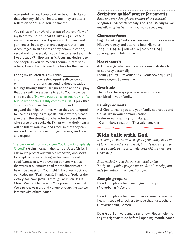own sinful nature. I would rather be Christ-like so that when my children imitate me, they are also a reflection of You and Your character.

You tell us in Your Word that out of the overflow of my heart my mouth speaks (Luke 6:45). Please fill me with Your mercy so I speak with kindness and gentleness, in a way that encourages rather than discourages. In all aspects of my communication, verbal and non-verbal, I would like to reflect a Christlike attitude (Philippians 2:3). Jesus, my desire is to see people as You do. When I communicate with others, I want them to see Your love for them in me.

I bring my children to You. When \_

and \_\_\_\_\_\_\_\_\_\_ are feeling upset, self-centered, or \_\_\_\_\_\_\_\_\_\_, rather than venting these negative feelings through hurtful language and actions, I pray that they will have a desire to go to You. Proverbs 13:3 says that "He who guards his lips guards his life, but he who speaks rashly comes to ruin." I pray that Your Holy Spirit will help **\_\_\_\_\_\_\_\_\_\_** and \_\_\_\_\_\_\_\_ to guard their lips. At times when they are tempted to use their tongues to speak unkind words, please give them the strength of character to bless those who curse them (Luke 6:28). I pray that their hearts will be full of Your love and grace so that they can respond in all situations with gentleness, kindness and respect.

"Before a word is on my tongue, You know it completely,

O Lord" (Psalm 139:4). In the name of Jesus Christ, I ask You to protect our family from Satan, who seeks to tempt us to use our tongues for harm instead of good (James 3:6). My prayer for our family is that the words of our mouths and the meditations of our hearts be pleasing in Your sight O Lord, our Rock and our Redeemer (Psalm 19:14). Thank you, God, for the victory You have given us through Your Son, Jesus Christ. We want to live with Your power in us so that You can receive glory and honour through the way we interact with others. Amen.

*Scripture-guided prayer for parents*

*Read and pray through one or more of the selected Scriptures under each heading. Focus on listening to God and allowing His Spirit to direct you as you pray.*

### Character focus

Begin by letting God know how much you appreciate His sovereignty and desire to hear His voice. Job 38:1-2,34-36 | Job 42:1-6 | Mark 1:21-24 | John 14:23-27 | John 15:12-15

## Heart search

Acknowledge when and how you demonstrate a lack of courtesy personally. Psalm 34:11-13 | Proverbs 10:19 | Matthew 12:35-37 | James 1:19-20 | James 3:7-12

# Gratitude

Thank God for ways you have seen courtesy exhibited in your family.

# Family requests

Ask God to make you and your family courteous and Christ-like in your communication. Psalm 19:14 | Psalm 141:3 | Luke 4:22 | 1 Corinthians 13:1,4-7 | 1 Thessalonians 5:11

# Kids talk with God

*Resolving to learn how to speak graciously is an act of love and obedience to God, but it's not easy. Use these sample prayers to help your children ask for God's help.*

*Alternatively, use the verses listed under "Scripture-guided prayer for children" to help your kids formulate an original prayer.*

# *Sample prayers*

Dear God, please help me to guard my lips (Proverbs 13:3). Amen.

Dear God, please help me to have a wise tongue that heals instead of a reckless tongue that hurts others (Proverbs 12:18). Amen.

Dear God, I am very angry right now. Please help me to get a right attitude before I open my mouth. Amen.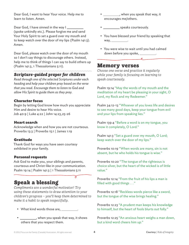Dear God, I want to hear Your voice. Help me to learn to listen. Amen.

Dear God, I have sinned in the way I (spoke unkindly etc.). Please forgive me and send Your Holy Spirit to set a guard over my mouth and to keep watch over the door of my lips (Psalm 141:3). Amen.

Dear God, please watch over the door of my mouth so I don't say things to discourage others. Instead, help me to think of things I can say to build others up (Psalm 141:3, 1 Thessalonians 5:11).

# *Scripture-guided prayer for children*

*Read through one of the selected Scriptures under each heading and help your children pray based on the verse that you read. Encourage them to listen to God and allow His Spirit to guide them as they pray.*

# Character focus

Begin by letting God know how much you appreciate Him and desire to hear His voice. Job 40:9 | Luke 4:22 | John 14:23,25-26

### Heart search

Acknowledge when and how you are not courteous. Proverbs 13:3 | Proverbs 15:1 | James 1:19

# Gratitude

Thank God for ways you have seen courtesy exhibited in your family.

### Personal requests

Ask God to make you, your siblings and parents, courteous and Christ-like in your communication. Psalm 19:14 | Psalm 141:3 | 1 Thessalonians 5:11

# Speak a blessing

*Compliments are a wonderful motivator! Try using these statements to draw attention to your children's progress – you'll keep them determined to make it a habit to speak respectfully.*

χ

- What kind words those are,  $\equiv$
- \_\_\_\_\_\_\_\_\_\_\_, when you speak that way, it shows others that you respect them.
- , when you speak that way, it encourages me/others.
- speaks courteously.
- You have blessed your friend by speaking that way, \_\_\_\_\_\_\_\_\_\_\_\_.
- You were wise to wait until you had calmed down before you spoke, \_\_\_\_\_\_\_\_\_\_.

 $\overline{a}$ 

# Memory verses

*Choose one verse and practice it regularly while your family is focusing on learning to speak courteously.*

Psalm 19:14 "May the words of my mouth and the meditation of my heart be pleasing in your sight, O Lord, my Rock and my Redeemer."

Psalm 34:12-13 "Whoever of you loves life and desires to see many good days, keep your tongue from evil and your lips from speaking lies."

Psalm 139:4 "Before a word is on my tongue, you know it completely, O Lord."

Psalm 141:3 "Set a guard over my mouth, O Lord; keep watch over the door of my lips."

Proverbs 10:19 "When words are many, sin is not absent, but he who holds his tongue is wise."

Proverbs 10:20 "The tongue of the righteous is choice silver, but the heart of the wicked is of little value."

Proverbs 12:14 "From the fruit of his lips a man is filled with good things . . ."

Proverbs 12:18 "Reckless words pierce like a sword, but the tongue of the wise brings healing."

Proverbs 12:23 "A prudent man keeps his knowledge to himself, but the heart of fools blurts out folly."

Proverbs 12:25 "An anxious heart weighs a man down, but a kind word cheers him up."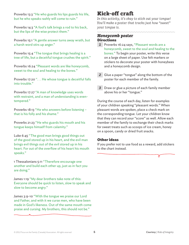Proverbs 13:3 "He who guards his lips guards his life, but he who speaks rashly will come to ruin."

Proverbs 14:3 "A fool's talk brings a rod to his back, but the lips of the wise protect them."

Proverbs 15:1 "A gentle answer turns away wrath, but a harsh word stirs up anger."

Proverbs 15:4 "The tongue that brings healing is a tree of life, but a deceitful tongue crushes the spirit."

Proverbs 16:24 "Pleasant words are like honeycomb, sweet to the soul and healing to the bones."

Proverbs 17:20 ". . . He whose tongue is deceitful falls into trouble."

Proverbs 17:27 "A man of knowledge uses words with restraint, and a man of understanding is eventempered."

Proverbs 18:13 "He who answers before listening – that is his folly and his shame."

Proverbs 21:23 "He who guards his mouth and his tongue keeps himself from calamity."

Luke 6:45 "The good man brings good things out of the good stored up in his heart, and the evil man brings evil things out of the evil stored up in his heart. For out of the overflow of his heart his mouth speaks."

1 Thessalonians 5:11 "Therefore encourage one another and build each other up, just as in fact you are doing."

James 1:19 "My dear brothers take note of this: Everyone should be quick to listen, slow to speak and slow to become angry."

James 3:9-10 "With the tongue we praise our Lord and Father, and with it we curse men, who have been made in God's likeness. Out of the same mouth come praise and cursing. My brothers, this should not be."

# Kick-off craft

*In this activity, it's okay to stick out your tongue! You'll make a poster that tracks just how "sweet" your tongue is.*

# *Honeycomb poster* **Directions**

- *1* Proverbs 16:24 says, "Pleasant words are a honeycomb, sweet to the soul and healing to the bones." To begin your poster, write this verse on a large sheet of paper. Use felt markers or stickers to decorate your poster with honeybees and a honeycomb design.
- 2 Glue a paper "tongue" along the bottom of the poster for each member of the family.
- *3* Draw or glue a picture of each family member above his or her "tongue."

During the course of each day, listen for examples of your children speaking "pleasant words." When pleasant words are spoken, place a check mark on the corresponding tongue. Let your children know that they can record your "score" as well. Allow each member of the family to exchange their check marks for sweet treats such as scoops of ice cream, honey on a spoon, candy or dried fruit snacks.

# Other ideas

If you prefer not to use food as a reward, add stickers to the chart instead.

Ծ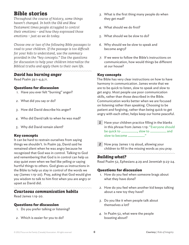# Bible stories

*Throughout the course of history, some things haven't changed. In both the Old and New Testament times people struggled to control their emotions – and how they expressed those emotions – just as we do today.*

*Choose one or two of the following Bible passages to read to your children. If the passage is too difficult for your kids to understand, use the summary provided in the "key concepts." Use the questions for discussion to help your children internalize the Biblical truths and apply them to their own life.*

# *David has burning anger*

Read Psalm 39:1-4,9,11.

# Questions for discussion

- *1.* Have you ever felt "burning" anger?
- *2.* What did you say or do?
- *3.* How did David describe his anger?
- *4.* Who did David talk to when he was mad?
- *5.* Why did David remain silent?

# Key concepts

It can be hard to restrain ourselves from saying things we shouldn't. In Psalm 39, David said he remained silent when he was angry because he recognized that God was in control. Talking to God and remembering that God is in control can help us stay quiet even when we feel like yelling or saying hurtful things to others. God gives us instructions in the Bible to help us stay in control of the words we say (James 1:19-20). Pray, asking that God would give you wisdom to talk to him first when you are angry or upset as David did.

# *Courteous communication habits*

Read James 1:19-20.

# Questions for discussion

- *1.* Do you prefer talking or listening?
- *2.* Which is easier for you to do?
- *3.* What is the first thing many people do when they get mad?
- *4.* What should we do first?
- *5.* What should we be slow to do?
- *6.* Why should we be slow to speak and become angry?
- *7.* If we were to follow the Bible's instructions on communication, how would things be different at our house?

## Key concepts

The Bible has very clear instructions on how to have harmony in communication. James wrote that we are to be quick to listen, slow to speak and slow to get angry. Most people use poor communication skills, rather than those described in the Bible. Communication works better when we are focused on listening rather than speaking. Choosing to be patient and forgiving, rather than being quick to get angry with each other, helps keep our home peaceful.

- *1* Have your children practice filling in the blanks in this phrase from James 1:19: "Everyone should be quick to \_\_\_\_\_\_\_\_, slow to \_\_\_\_\_\_\_\_ and slow to become \_\_\_\_\_\_\_\_."
- 2 Now pray James 1:19 aloud, allowing your children to fill in the missing words as you pray.

## *Building what?*

Read Psalm 52, Ephesians 4:29 and Jeremiah 9:23-24.

### Questions for discussion

- *1.* How do you feel when someone brags about what they have done?
- *2.* How do you feel when another kid keeps talking about a new toy they have?
- *3.* Do you like it when people talk about themselves a lot?
- *4.* In Psalm 52, what were the people boasting about?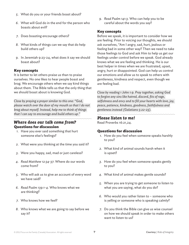- *5.* What do you or your friends boast about?
- *6.* What will God do in the end for the person who boasts about evil?
- *7.* Does boasting encourage others?
- *8.* What kinds of things can we say that do help build others up?
- *9.* In Jeremiah 9:23-24, what does it say we should boast about?

#### Key concepts

It is better to let others praise us than to praise ourselves. No one likes to hear people boast and brag. We encourage others when we say kind things about them. The Bible tells us that the only thing that we should boast about is knowing God.

*Close by praying a prayer similar to this one: "God, please watch over the door of my mouth so that I do not brag about myself. Instead, help me to think of things that I can say to encourage and build others up."*

# *Where does our talk come from?* Questions for discussion

- *1.* Have you ever said something that hurt someone else's feelings?
- *2.* What were you thinking at the time you said it?
- *3.* Were you happy, sad, mad or just careless?
- *4. Read Matthew 12:34-37.* Where do our words come from?
- *5.* Who will ask us to give an account of every word we have said?
- *6. Read Psalm 139:1-4.* Who knows what we are thinking?
- *7.* Who knows how we feel?
- *8.* Who knows what we are going to say before we say it?

*9. Read Psalm 141:3.* Who can help you to be careful about the words you say?

#### Key concepts

Before we speak, it is important to consider how we are feeling. Prior to voicing our thoughts, we should ask ourselves, "Am I angry, sad, hurt, jealous or feeling bad in some other way? Then we need to take those feelings to God and ask Him to help us get our feelings under control before we speak. God already knows what we are feeling and thinking. He is our best helper in times when we are frustrated, upset, angry, hurt or disappointed. God can help us control our emotions and allow us to speak to others with gentleness, kindness and respect, even though we are feeling bad.

*Close by reading 1 John 1:9. Pray together, asking God to forgive any sins like hatred, discord, fits of rage, selfishness and envy and to fill your hearts with love, joy, peace, patience, kindness, goodness, faithfulness and gentleness instead (Galatians 5:22-23).*

#### *Please listen to me!*

Read Proverbs 16:21,24.

#### Questions for discussion

- *1.* How do you feel when someone speaks harshly to you?
- *2.* What kind of animal sounds harsh when it is upset?
- *3.* How do you feel when someone speaks gently to you?
- *4.* What kind of animal makes gentle sounds?
- *5.* When you are trying to get someone to listen to what you are saying, what do you do?
- *6.* Who would you rather listen to someone who is yelling or someone who is speaking calmly?
- *7.* Do you think the Bible can give us wise counsel on how we should speak in order to make others want to listen to us?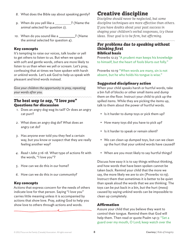- *8.* What does the Bible say about speaking gently?
- 9. When do you yell like a \_\_\_\_\_\_\_\_\_\_? (Name the animal selected for question 2).
- 10. When do you sound like a \_\_\_\_\_\_\_\_\_\_? (Name the animal selected for question 4).

### Key concepts

It's tempting to raise our voices, talk louder or yell to get others to listen to us. But when we speak with soft and gentle words, others are more likely to listen to us than when we yell or scream. Let's pray, confessing that at times we have spoken with harsh or unkind words. Let's ask God to help us speak with pleasant and kind words instead.

*Give your children the opportunity to pray, repeating your words after you.*

# *The best way to say, "I love you"* Questions for discussion

- *1.* Does an angry dog wag its tail? Or does an angry cat purr?
- *2.* What does an angry dog do? What does an angry cat do?
- *3.* Has anyone ever told you they feel a certain way, but you know or suspect that they are really feeling another way?
- *4. Read 1 John 3:16-18.* What type of actions fit with the words, "I love you"?
- *5.* How can we do this in our home?
- *6.* How can we do this in our community?

# Key concepts

Actions that express concern for the needs of others indicate love for that person. Saying "I love you" carries little meaning unless it is accompanied by actions that show love. Pray, asking God to help you show love to others through actions and words.

# Creative discipline

*Discipline should never be neglected, but some discipline techniques are more effective than others. If you have doubts about your past success in shaping your children's verbal responses, try these ideas. Your goal is to be firm, but affirming.*

## *For problems due to speaking without thinking first* Biblical basis

Proverbs 12:23 "A prudent man keeps his knowledge to himself, but the heart of fools blurts out folly."

Proverbs 10:19 "When words are many, sin is not absent, but he who holds his tongue is wise."

# Suggested disciplinary action

When your child speaks harsh or hurtful words, take a bin full of blocks or other small items and dump them on the floor. Instruct your child to pick up the spilled items. While they are picking the items up, talk to them about the power of hurtful words.

- Is it harder to dump toys or pick them up?
- How many toys did you have to pick up?
- Is it harder to speak or remain silent?
- We can clean up dumped toys, but can we clean up the hurt that your unkind words have caused?
- When are you most likely to say hurtful things?

Discuss how easy it is to say things without thinking, and how words that have been spoken cannot be taken back. Remind your child that the more we say, the more likely we are to sin (Proverbs 10:19). Instruct them that sometimes it is better to be quiet than speak aloud the words that we are thinking. The toys can be put back in a bin, but the hurt (mess) caused by saying unkind words can be impossible to clean up completely.

### Affirmation

Assure your child that you believe they want to control their tongue. Remind them that God will help them. Then read or quote Psalm 141:3: "Set a guard over my mouth, O Lord; keep watch over the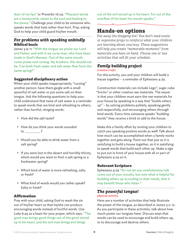door of my lips" or Proverbs 16:24: "Pleasant words are a honeycomb, sweet to the soul and healing to the bones." Challenge your child to be someone who speaks words that heal rather than hurt. Pray, asking God to help your child guard his/her mouth.

# *For problems with speaking unkindly* Biblical basis

James 3:9-11 "With the tongue we praise our Lord and Father, and with it we curse men, who have been made in God's likeness. Out of the same mouth come praise and cursing. My brothers, this should not be. Can both fresh water and salt water flow from the same spring?"

## Suggested disciplinary action

When your child speaks inappropriately, "cursing" another person, have them gargle with a small spoonful of salt water or put some salt on their tongue. Ask the following questions to help your child understand that taste of salt water is a reminder to speak words that are kind and refreshing to others, rather than hurtful, stinging words.

- How did the salt taste?
- How do you think your words sounded to ?
- Would you be able to drink water from a salt spring?
- If you were lost in the desert and horribly thirsty, which would you want to find: a salt spring or a freshwater spring?
- Which kind of water is more refreshing, salty or fresh?
- What kind of words would you rather speak? Salty or fresh?

### Affirmation

Pray with your child, asking God to wash the sin out of his/her heart so that he/she can produce encouraging words instead of hurtful words. Use Luke 6:45 as a basis for your prayer, which says, "The good man brings good things out of the good stored up in his heart, and the evil man brings evil things

out of the evil stored up in his heart. For out of the overflow of his heart his mouth speaks."

# Hands-on options

*Put away the shopping list! You don't need exotic or expensive props to reinforce what your children are learning about courtesy. These suggestions will help you create "memorable moments" from materials you have on hand. Choose one or two activities that will fit your schedule.*

#### *Family building project creative crafts*

For this activity, you and your children will build a house together – a reminder of Ephesians 4:29.

Construction materials can include Lego®, sugar cube "bricks" or other creative raw materials. The teaser is that your children must earn the raw materials for your house by speaking in a way that "builds others up" – by solving problems politely, speaking gently and respectfully, and encouraging others through kind words. Every time someone speaks "building words" they receive a brick to add to the house.

Make this a family affair by inviting your children to catch you speaking positive words as well! Talk about how much can be accomplished when a family works together and gets along. Point out that just as it is satisfying to build a house together, so it is satisfying to speak words that build each other up. Make a sign to put out in front of your house with all or part of Ephesians 4:29 on it.

# Relevant Scripture

Ephesians 4:29 "Do not let any unwholesome talk come out of your mouths, but only what is helpful for building others up according to their needs, that it may benefit those who listen."

# *The powerful tongue!*

#### *physical activity*

Here are a number of activities that help illustrate the power of the tongue, as described in James 3:2-12. As you participate in these activities, talk about how much power our tongues have. Discuss ways that words can be used to encourage and build others up, or to discourage and destroy others.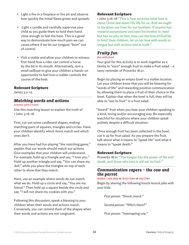- Light a fire in a fireplace or fire pit and observe how quickly the initial flame grows and spreads.
- Light a candle and carefully supervise your child as you guide them to hold their hand close enough to feel the heat. This is a good way to demonstrate how much pain we can cause others if we let our tongues "burn" out of control.
- Visit a stable and allow your children to witness first-hand how a rider can control a horse by the bit in its mouth. Alternatively, rent a small sailboat to give your children a hands-on opportunity to feel how a rudder controls the course of the boat.

### Relevant Scripture

James 3:2-12.

#### *Matching words and actions science with a twist*

Use this matching lesson to explain the truth of 1 John 3:16-18.

First, cut out some cardboard shapes, making matching pairs of squares, triangles and circles. Have your children identify which items match and which ones don't.

After you have had fun playing "the matching game," explain that our words should match our actions. Give examples that your children will understand. For example, hold up a triangle and say, "I love you." Hold up another triangle and say, "You can share my doll," while you place the triangles on top of each other to show that they match.

Next, use an example where words do not match what we do. Hold up a circle and say, "You are my friend." Then hold up a square beside the circle and say, "I will not share my cookies with you."

Following this discussion, speak a blessing to your children when their words and actions match. Conversely, you can remind them of the shapes when their words and actions are not congruent.

## Relevant Scripture

1 John 3:16-18 "This is how we know what love is: Jesus Christ laid down His life for us. And we ought to lay down our lives for our brothers. If anyone has material possessions and sees his brother in need but has no pity on him, how can the love of God be in him? Dear children, let us not love with words or tongue but with actions and in truth."

# *Fruity fun*

#### *fun with food*

Your goal for this activity is to work together as a family to "earn" enough fruit to make a fruit salad – a tasty reminder of Proverbs 18:21.

Begin by placing an empty bowl in a visible location. Let your children know that you will be listening for "words of life" and rewarding positive communication by allowing them to place a fruit of their choice in the bowl. Explain that when the bowl is full, they will be able to "eat its fruit" in a fruit salad.

"Award" fruit when you hear your children speaking in a kind, loving and/or encouraging way. Be especially watchful for situations where your children speak politely despite a difficult situation.

Once enough fruit has been collected in the bowl, cut it up for fruit salad. As you prepare the fruit, talk about what it means to "speak life" and what it means to "speak death."

# Relevant Scripture

Proverbs 18:21 "The tongue has the power of life and death, and those who love it will eat its fruit."

# *Communication capers – the cow and the parrot*

#### *drama / role play or drive time or any time*

Begin by sharing the following knock-knock joke with your kids:

*First person: "Knock, knock."*

*Second person: "Who's there?"*

*First person: "Interrupting cow."*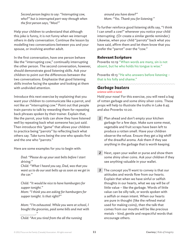*Second person begins to say: "Interrupting cow, who?" but is interrupted part-way through when the first person says, "Moo!"*

Help your children to understand that although this joke is funny, it is not funny when we interrupt others in daily conversation. Continue the lesson by modelling two conversations between you and your spouse, or involving another adult.

In the first conversation, have one person behave like the "interrupting cow," continually interrupting the other person. The second conversation, however, should demonstrate good listening skills. Ask your children to point out the differences between the two conversations. Emphasize that good listening skills involve facing the speaker and looking at them with undivided attention.

Introduce this next exercise by explaining that you want your children to communicate like a parrot, and not like an "interrupting cow." Point out that people train parrots to talk by rewarding them for repeating back phrases spoken by their trainer. Explain that, like the parrot, your kids can show they have listened well by repeating back what someone has just said. Then introduce this "game" that allows your children to practice being "parrots" by reflecting back what others say. Take turns being the one who speaks first and the one who "parrots."

Here are some examples for you to begin with:

*Dad: "Please do up your seat belts before I start driving."*

*Child: "What I heard you say, Dad, was that you want us to do our seat belts up as soon as we get in the car."*

*Child: "It would be nice to have hamburgers for supper tonight."*

*Mom: "I think you are asking for hamburgers for supper tonight. Is that right?"*

*Mom: "I'm exhausted. While you were at school, I bought the groceries, paid some bills and met with ."*

*Child: "Are you tired from the all the running* 

*around you have done?" Mom: "Yes. Thank you for listening."*

To further reinforce good listening skills say, "I think I can smell a cow!" whenever you notice your child interrupting. (Or create a similar gentle reminder.) Likewise, when your child "parrots" back what you have said, affirm them and let them know that you prefer the "parrot" over the "cow."

### Relevant Scripture

Proverbs 10:19 "When words are many, sin is not absent, but he who holds his tongue is wise."

Proverbs 18:13 "He who answers before listening – that is his folly and shame."

#### *Garbage busters science with a twist*

Hold your nose! For this exercise, you will need a bag of rotten garbage and some shiny silver coins. These props will help to illustrate the truths in Luke 6:45 and also Proverbs 10:20.

- 1 Plan ahead and don't empty your kitchen garbage for a few days. Make sure some meat, vegetable and fruit scraps have been left to produce a rotten smell. Have your children observe the refuse. Ensure they get a big whiff of the dreadful aroma. Ask them if they see anything in the garbage that is worth keeping.
- *2* Next, open your wallet or purse and show them some shiny silver coins. Ask your children if they see anything valuable in your wallet.
- *3* The concept you'll want to convey is that our attitudes and words flow from our hearts. Explain that when we have sinful or selfish thoughts in our hearts, what we say will be of little value – like the garbage. Words of little value can be silly talk, or words spoken with a selfish or mean intent. When our hearts are pure in thought (like the refined metal used for making coins), then the talk that comes from our mouths will be like precious metals – kind, gentle and respectful words that encourage others.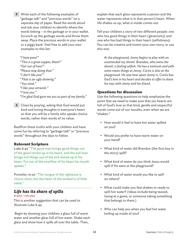*4* Write each of the following examples of "garbage talk" and "precious words" on a separate slip of paper. Read the words aloud and ask your children to identify where the words belong – in the garbage or in your wallet. Scrunch up the garbage words and throw them away. Place the precious words in your wallet or a piggy bank. Feel free to add your own examples to this list:

*"I hate peas!" "This is a great supper, Mom!" "Get out of here!" "Please stop doing that." "I don't like you!" "That is an ugly drawing." "You stink." "I like your artwork." "I love you." "I'm glad God gave me you as part of my family."*

*5* Close by praying, asking that God would put kind and loving thoughts in everyone's heart so that you will be a family who speaks choice words, rather than words of no value.

Reaffirm these truths with your children and have some fun by referring to "garbage talk" or "precious words" throughout the days to follow.

### Relevant Scripture

Luke 6:45 "The good man brings good things out of the good stored up in his heart, and the evil man brings evil things out of the evil stored up in his heart. For out of the overflow of his heart his mouth speaks."

Proverbs 10:20 "The tongue of the righteous is choice silver, but the heart of the wicked is of little value."

# *Life has its share of spills*

#### *drama / role play*

This is another suggestion that can be used to illustrate Luke 6:45.

 Begin by showing your children a glass full of warm water and another glass full of hot water. Shake each glass and show how it spills all over the table. Then,

explain that each glass represents a person and the water represents what is in that person's heart. When life shakes us up, what is inside comes out.

Tell your children a story of two different people: one who has good things in their heart (generosity) and one who has bad things in their heart (selfishness). You can be creative and invent your own story, or use this one:

*At the playground, Jenny begins to play with an unattended toy shovel. Brandon, who owns the shovel, is feeling selfish. He has a tantrum and yells some mean things at Jenny. Curtis is also at the playground. He sees how upset Jenny is. Curtis has God's love in his heart and decides to offer to share his toys with Jenny and her friend.*

### Questions for discussion

Use the following questions to help emphasize the point that we need to make sure that our hearts are full of God's love so that kind, gentle and respectful words come out of our mouths, even when we are "shaken."

- How would it feel to have hot water spilled on you?
- Would you prefer to have warm water on your hand?
- What kind of water did Brandon (the first boy in the story) spill?
- What kind of water do you think Jesus would spill if He were at the playground?
- What kind of water would you like to spill on others?
- What could make you feel shaken or ready to spill hot water? (Ideas include being teased, losing at a game, or someone taking something that belongs to them.)
- Who can help you when you feel hot water boiling up inside of you?